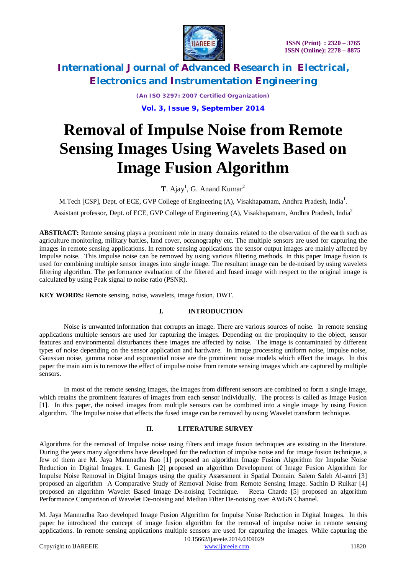

> *(An ISO 3297: 2007 Certified Organization)* **Vol. 3, Issue 9, September 2014**

# **Removal of Impulse Noise from Remote Sensing Images Using Wavelets Based on Image Fusion Algorithm**

**T**. Ajay<sup>1</sup>, G. Anand Kumar<sup>2</sup>

M.Tech [CSP], Dept. of ECE, GVP College of Engineering (A), Visakhapatnam, Andhra Pradesh, India<sup>1</sup>.

Assistant professor, Dept. of ECE, GVP College of Engineering (A), Visakhapatnam, Andhra Pradesh, India<sup>2</sup>

**ABSTRACT:** Remote sensing plays a prominent role in many domains related to the observation of the earth such as agriculture monitoring, military battles, land cover, oceanography etc. The multiple sensors are used for capturing the images in remote sensing applications. In remote sensing applications the sensor output images are mainly affected by Impulse noise. This impulse noise can be removed by using various filtering methods. In this paper Image fusion is used for combining multiple sensor images into single image. The resultant image can be de-noised by using wavelets filtering algorithm. The performance evaluation of the filtered and fused image with respect to the original image is calculated by using Peak signal to noise ratio (PSNR).

**KEY WORDS:** Remote sensing, noise, wavelets, image fusion, DWT.

### **I. INTRODUCTION**

Noise is unwanted information that corrupts an image. There are various sources of noise. In remote sensing applications multiple sensors are used for capturing the images. Depending on the propinquity to the object, sensor features and environmental disturbances these images are affected by noise. The image is contaminated by different types of noise depending on the sensor application and hardware. In image processing uniform noise, impulse noise, Gaussian noise, gamma noise and exponential noise are the prominent noise models which effect the image. In this paper the main aim is to remove the effect of impulse noise from remote sensing images which are captured by multiple sensors.

In most of the remote sensing images, the images from different sensors are combined to form a single image, which retains the prominent features of images from each sensor individually. The process is called as Image Fusion [1]. In this paper, the noised images from multiple sensors can be combined into a single image by using Fusion algorithm. The Impulse noise that effects the fused image can be removed by using Wavelet transform technique.

### **II. LITERATURE SURVEY**

Algorithms for the removal of Impulse noise using filters and image fusion techniques are existing in the literature. During the years many algorithms have developed for the reduction of impulse noise and for image fusion technique, a few of them are M. Jaya Manmadha Rao [1] proposed an algorithm Image Fusion Algorithm for Impulse Noise Reduction in Digital Images. L Ganesh [2] proposed an algorithm Development of Image Fusion Algorithm for Impulse Noise Removal in Digital Images using the quality Assessment in Spatial Domain. Salem Saleh Al-amri [3] proposed an algorithm A Comparative Study of Removal Noise from Remote Sensing Image. Sachin D Ruikar [4] proposed an algorithm Wavelet Based Image De-noising Technique. Reeta Charde [5] proposed an algorithm Performance Comparison of Wavelet De-noising and Median Filter De-noising over AWGN Channel.

M. Jaya Manmadha Rao developed Image Fusion Algorithm for Impulse Noise Reduction in Digital Images. In this paper he introduced the concept of image fusion algorithm for the removal of impulse noise in remote sensing applications. In remote sensing applications multiple sensors are used for capturing the images. While capturing the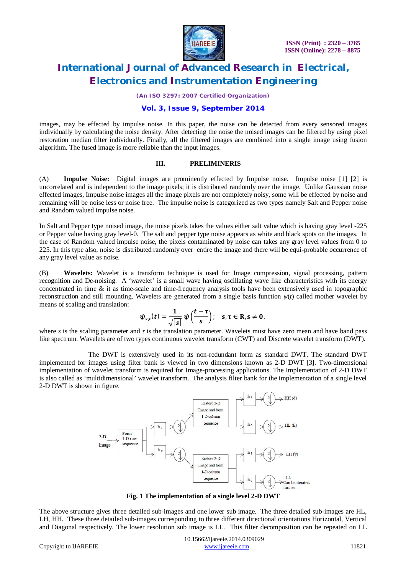

*(An ISO 3297: 2007 Certified Organization)*

#### **Vol. 3, Issue 9, September 2014**

images, may be effected by impulse noise. In this paper, the noise can be detected from every sensored images individually by calculating the noise density. After detecting the noise the noised images can be filtered by using pixel restoration median filter individually. Finally, all the filtered images are combined into a single image using fusion algorithm. The fused image is more reliable than the input images.

#### **III. PRELIMINERIS**

(A) **Impulse Noise:** Digital images are prominently effected by Impulse noise. Impulse noise [1] [2] is uncorrelated and is independent to the image pixels; it is distributed randomly over the image. Unlike Gaussian noise effected images, Impulse noise images all the image pixels are not completely noisy, some will be effected by noise and remaining will be noise less or noise free. The impulse noise is categorized as two types namely Salt and Pepper noise and Random valued impulse noise.

In Salt and Pepper type noised image, the noise pixels takes the values either salt value which is having gray level -225 or Pepper value having gray level-0. The salt and pepper type noise appears as white and black spots on the images. In the case of Random valued impulse noise, the pixels contaminated by noise can takes any gray level values from 0 to 225. In this type also, noise is distributed randomly over entire the image and there will be equi-probable occurrence of any gray level value as noise.

(B) **Wavelets:** Wavelet is a transform technique is used for Image compression, signal processing, pattern recognition and De-noising. A 'wavelet' is a small wave having oscillating wave like characteristics with its energy concentrated in time & it as time-scale and time-frequency analysis tools have been extensively used in topographic reconstruction and still mounting. Wavelets are generated from a single basis function *ψ*(*t*) called mother wavelet by means of scaling and translation:

$$
\psi_{s,\tau}(t)=\frac{1}{\sqrt{|s|}}\,\psi\Big(\frac{t-\tau}{s}\Big);\quad s,\tau\in R, s\neq 0.
$$

where *s* is the scaling parameter and *τ* is the translation parameter. Wavelets must have zero mean and have band pass like spectrum. Wavelets are of two types continuous wavelet transform (CWT) and Discrete wavelet transform (DWT).

The DWT is extensively used in its non-redundant form as standard DWT. The standard DWT implemented for images using filter bank is viewed in two dimensions known as 2-D DWT [3]. Two-dimensional implementation of wavelet transform is required for Image-processing applications. The Implementation of 2-D DWT is also called as 'multidimensional' wavelet transform. The analysis filter bank for the implementation of a single level 2-D DWT is shown in figure.



**Fig. 1 The implementation of a single level 2-D DWT**

The above structure gives three detailed sub-images and one lower sub image. The three detailed sub-images are HL, LH, HH. These three detailed sub-images corresponding to three different directional orientations Horizontal, Vertical and Diagonal respectively. The lower resolution sub image is LL. This filter decomposition can be repeated on LL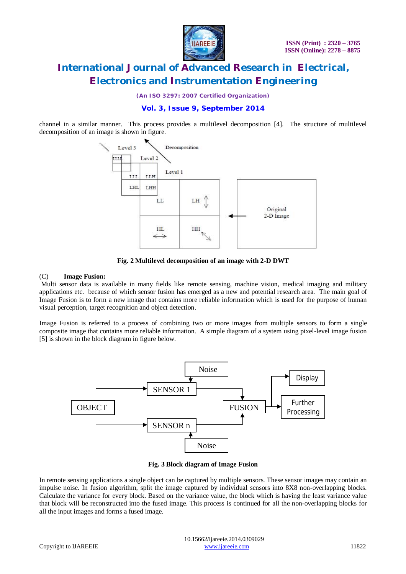

*(An ISO 3297: 2007 Certified Organization)*

### **Vol. 3, Issue 9, September 2014**

channel in a similar manner. This process provides a multilevel decomposition [4]. The structure of multilevel decomposition of an image is shown in figure.



**Fig. 2 Multilevel decomposition of an image with 2-D DWT**

#### (C) **Image Fusion:**

Multi sensor data is available in many fields like remote sensing, machine vision, medical imaging and military applications etc. because of which sensor fusion has emerged as a new and potential research area. The main goal of Image Fusion is to form a new image that contains more reliable information which is used for the purpose of human visual perception, target recognition and object detection.

Image Fusion is referred to a process of combining two or more images from multiple sensors to form a single composite image that contains more reliable information. A simple diagram of a system using pixel-level image fusion [5] is shown in the block diagram in figure below.



**Fig. 3 Block diagram of Image Fusion**

In remote sensing applications a single object can be captured by multiple sensors. These sensor images may contain an impulse noise. In fusion algorithm, split the image captured by individual sensors into 8X8 non-overlapping blocks. Calculate the variance for every block. Based on the variance value, the block which is having the least variance value that block will be reconstructed into the fused image. This process is continued for all the non-overlapping blocks for all the input images and forms a fused image.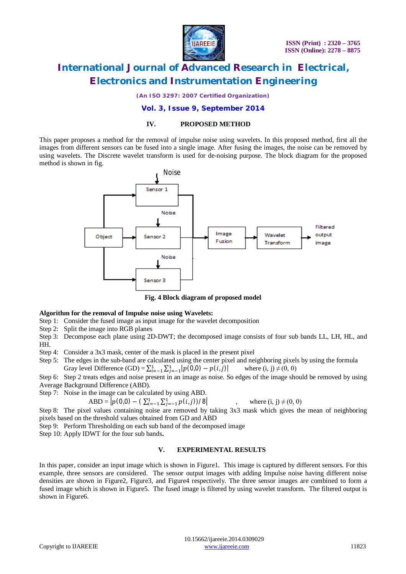

*(An ISO 3297: 2007 Certified Organization)*

### **Vol. 3, Issue 9, September 2014**

#### **IV. PROPOSED METHOD**

This paper proposes a method for the removal of impulse noise using wavelets. In this proposed method, first all the images from different sensors can be fused into a single image. After fusing the images, the noise can be removed by using wavelets. The Discrete wavelet transform is used for de-noising purpose. The block diagram for the proposed method is shown in fig.



**Fig. 4 Block diagram of proposed model**

#### **Algorithm for the removal of Impulse noise using Wavelets:**

- Step 1: Consider the fused image as input image for the wavelet decomposition
- Step 2: Split the image into RGB planes
- Step 3: Decompose each plane using 2D-DWT; the decomposed image consists of four sub bands LL, LH, HL, and HH.
- Step 4: Consider a 3x3 mask, center of the mask is placed in the present pixel
- Step 5: The edges in the sub-band are calculated using the center pixel and neighboring pixels by using the formula Gray level Difference  $(GD) = \sum_{i=-1}^{1} \sum_{j=-1}^{1} |p(0,0) - p(i,j)|$  where  $(i, j) \neq (0, 0)$
- Step 6: Step 2 treats edges and noise present in an image as noise. So edges of the image should be removed by using Average Background Difference (ABD).
- Step 7: Noise in the image can be calculated by using ABD.

 $ABD = |p(0,0) - (\sum_{i=-1}^{1} \sum_{j=-1}^{1} p(i,j)) / 8|$ , where  $(i, j) \neq (0, 0)$ 

, where 
$$
(i, j) \neq (0, 0)
$$

Step 8: The pixel values containing noise are removed by taking 3x3 mask which gives the mean of neighboring pixels based on the threshold values obtained from GD and ABD

Step 9: Perform Thresholding on each sub band of the decomposed image

Step 10: Apply IDWT for the four sub bands**.**

### **V. EXPERIMENTAL RESULTS**

In this paper, consider an input image which is shown in Figure1. This image is captured by different sensors. For this example, three sensors are considered. The sensor output images with adding Impulse noise having different noise densities are shown in Figure2, Figure3, and Figure4 respectively. The three sensor images are combined to form a fused image which is shown in Figure5. The fused image is filtered by using wavelet transform. The filtered output is shown in Figure6.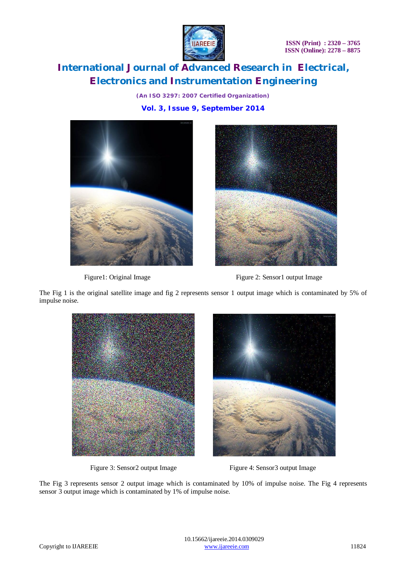

*(An ISO 3297: 2007 Certified Organization)* **Vol. 3, Issue 9, September 2014**





Figure1: Original Image Figure 2: Sensor1 output Image

The Fig 1 is the original satellite image and fig 2 represents sensor 1 output image which is contaminated by 5% of impulse noise.



Figure 3: Sensor2 output Image Figure 4: Sensor3 output Image

The Fig 3 represents sensor 2 output image which is contaminated by 10% of impulse noise. The Fig 4 represents sensor 3 output image which is contaminated by 1% of impulse noise.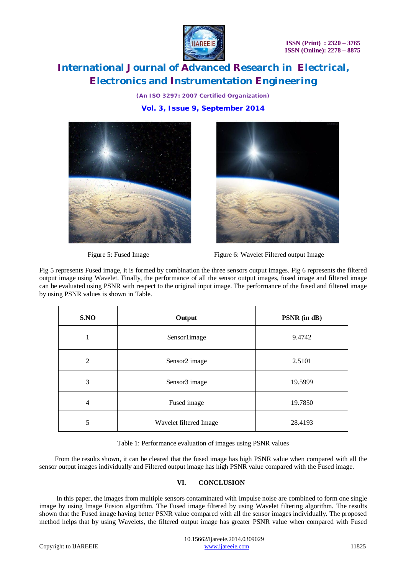

*(An ISO 3297: 2007 Certified Organization)* **Vol. 3, Issue 9, September 2014**





Figure 5: Fused Image Figure 6: Wavelet Filtered output Image

Fig 5 represents Fused image, it is formed by combination the three sensors output images. Fig 6 represents the filtered output image using Wavelet. Finally, the performance of all the sensor output images, fused image and filtered image can be evaluated using PSNR with respect to the original input image. The performance of the fused and filtered image by using PSNR values is shown in Table.

| S.NO           | Output                 | PSNR (in dB) |
|----------------|------------------------|--------------|
|                | Sensor1image           | 9.4742       |
| $\overline{2}$ | Sensor2 image          | 2.5101       |
| 3              | Sensor3 image          | 19.5999      |
| $\overline{4}$ | Fused image            | 19.7850      |
| 5              | Wavelet filtered Image | 28.4193      |

Table 1: Performance evaluation of images using PSNR values

 From the results shown, it can be cleared that the fused image has high PSNR value when compared with all the sensor output images individually and Filtered output image has high PSNR value compared with the Fused image.

### **VI. CONCLUSION**

 In this paper, the images from multiple sensors contaminated with Impulse noise are combined to form one single image by using Image Fusion algorithm. The Fused image filtered by using Wavelet filtering algorithm. The results shown that the Fused image having better PSNR value compared with all the sensor images individually. The proposed method helps that by using Wavelets, the filtered output image has greater PSNR value when compared with Fused